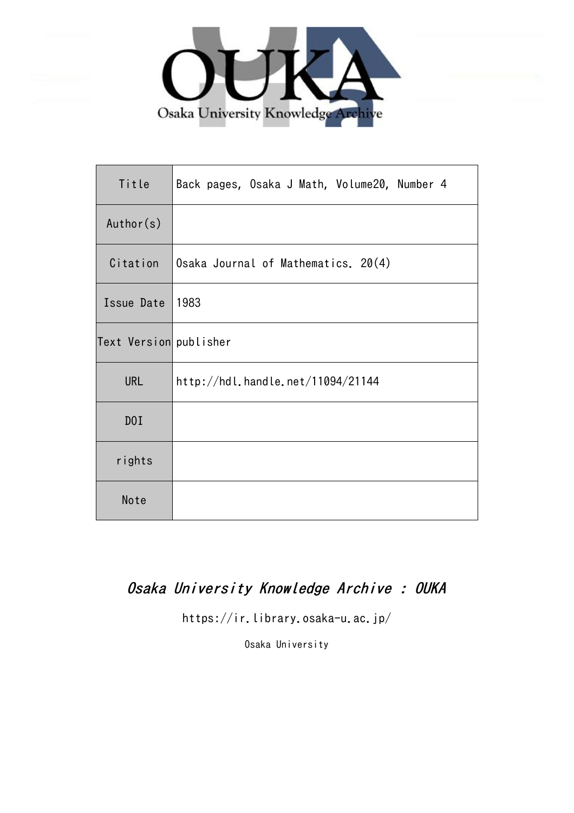

| Title                  | Back pages, Osaka J Math, Volume20, Number 4 |
|------------------------|----------------------------------------------|
| Author(s)              |                                              |
| Citation               | Osaka Journal of Mathematics. 20(4)          |
| Issue Date             | 1983                                         |
| Text Version publisher |                                              |
| <b>URL</b>             | http://hdl.handle.net/11094/21144            |
| D0I                    |                                              |
| rights                 |                                              |
| Note                   |                                              |

## Osaka University Knowledge Archive : OUKA

https://ir.library.osaka-u.ac.jp/

Osaka University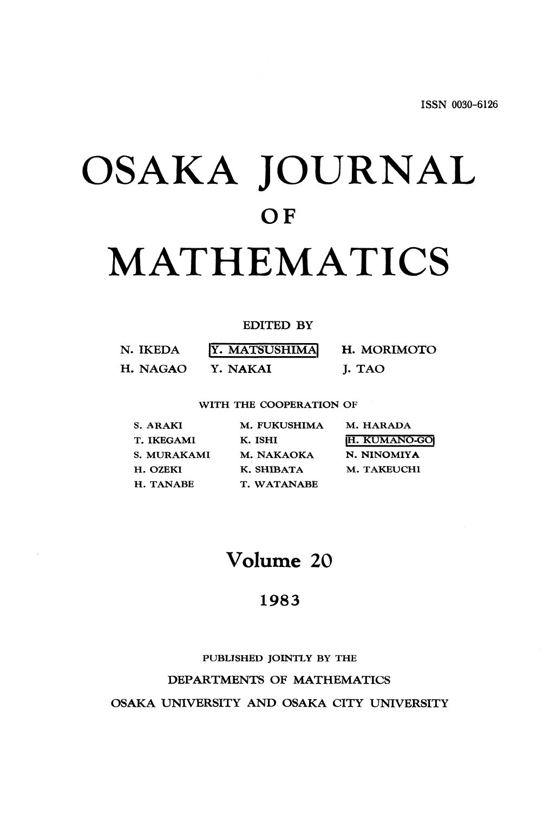# OSAKA JOURNAL **OF** MATHEMATICS

#### EDITED BY

| N. IKEDA | Y. MATSUSHIMA | H. MORIMOTO |
|----------|---------------|-------------|
| H. NAGAO | Y. NAKAI      | I. TAO      |

#### **WITH THE COOPERATION OF**

| S. ARAKI    | <b>M. FUKUSHIMA</b> | M. HARADA           |
|-------------|---------------------|---------------------|
| T. IKEGAMI  | K. ISHI             | <b>H. KUMANO-GO</b> |
| S. MURAKAMI | M. NAKAOKA          | N. NINOMIYA         |
| H. OZEKI    | K. SHIBATA          | M. TAKEUCHI         |
| H. TANABE   | T. WATANABE         |                     |

## **Volume 20**

### 1983

**PUBLISHED JOINTLY BY THE**

## DEPARTMENTS OF MATHEMATICS

OSAKA UNIVERSITY AND OSAKA CITY UNIVERSITY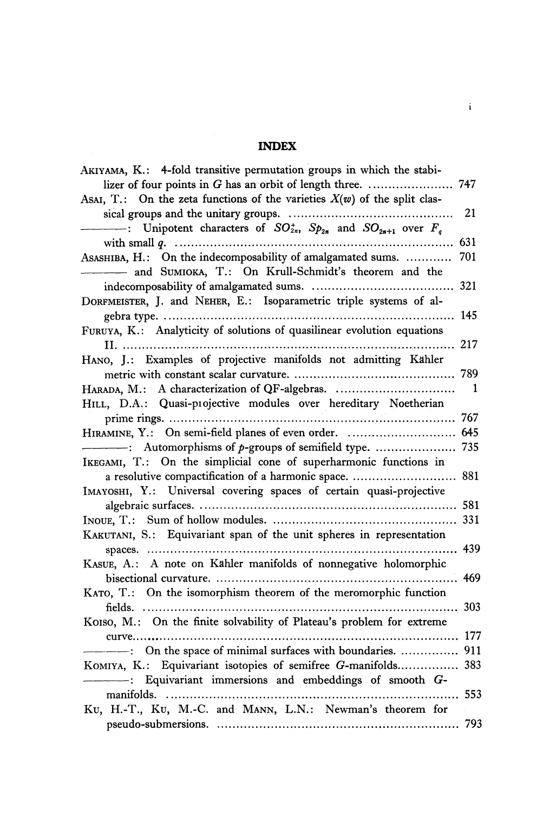### **INDEX**

| AKIYAMA, K.: 4-fold transitive permutation groups in which the stabi-          |              |
|--------------------------------------------------------------------------------|--------------|
|                                                                                |              |
| ASAI, T.: On the zeta functions of the varieties $X(w)$ of the split clas-     |              |
|                                                                                | 21           |
| --: Unipotent characters of $SO_{2n}^*$ , $Sp_{2n}$ and $SO_{2n+1}$ over $F_q$ |              |
|                                                                                | 631          |
| ASASHIBA, H.: On the indecomposability of amalgamated sums.                    | 701          |
| and SUMIOKA, T.: On Krull-Schmidt's theorem and the                            |              |
|                                                                                |              |
| DORFMEISTER, J. and NEHER, E.: Isoparametric triple systems of al-             |              |
|                                                                                | 145          |
| FURUYA, K.: Analyticity of solutions of quasilinear evolution equations        |              |
|                                                                                | 217          |
| HANO, J.: Examples of projective manifolds not admitting Kähler                |              |
|                                                                                |              |
| HARADA, M.: A characterization of QF-algebras.                                 | 1            |
| HILL, D.A.: Quasi-projective modules over hereditary Noetherian                |              |
|                                                                                |              |
|                                                                                |              |
|                                                                                |              |
| IKEGAMI, T.: On the simplicial cone of superharmonic functions in              |              |
| a resolutive compactification of a harmonic space.                             | 881          |
| IMAYOSHI, Y.: Universal covering spaces of certain quasi-projective            |              |
|                                                                                |              |
|                                                                                |              |
| KAKUTANI, S.: Equivariant span of the unit spheres in representation           |              |
|                                                                                | …… 439       |
| KASUE, A.: A note on Kähler manifolds of nonnegative holomorphic               |              |
|                                                                                | $\ldots$ 469 |
| KATO, T.: On the isomorphism theorem of the meromorphic function               |              |
|                                                                                |              |
| KOISO, M.: On the finite solvability of Plateau's problem for extreme          |              |
|                                                                                |              |
| On the space of minimal surfaces with boundaries.  911<br>$-1$                 |              |
| KOMIYA, K.: Equivariant isotopies of semifree G-manifolds 383                  |              |
| Equivariant immersions and embeddings of smooth G-                             |              |
|                                                                                | $\cdots$ 553 |
| Ku, H.-T., Ku, M.-C. and MANN, L.N.: Newman's theorem for                      |              |
|                                                                                |              |

 $\mathbf{i}$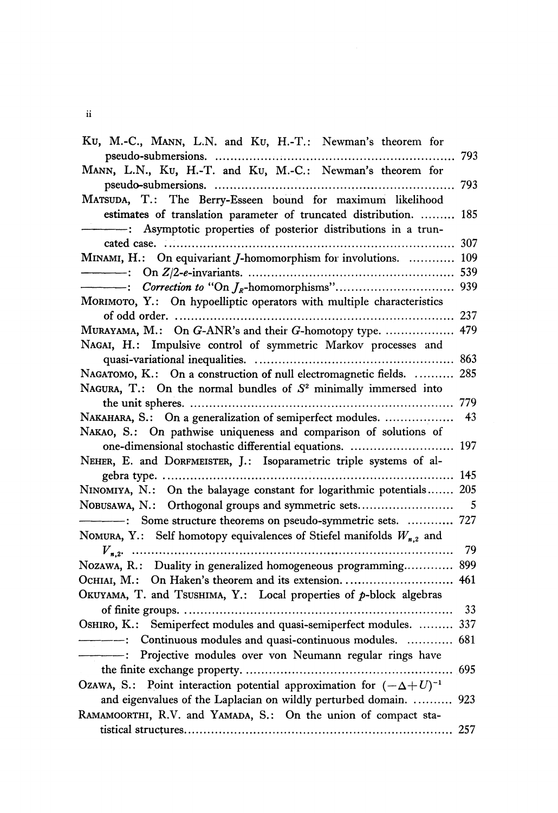| Ku, M.-C., MANN, L.N. and Ku, H.-T.: Newman's theorem for                      |     |
|--------------------------------------------------------------------------------|-----|
|                                                                                | 793 |
| MANN, L.N., Ku, H.-T. and Ku, M.-C.: Newman's theorem for                      |     |
|                                                                                | 793 |
| MATSUDA, T.: The Berry-Esseen bound for maximum likelihood                     |     |
| estimates of translation parameter of truncated distribution.                  | 185 |
| - -----: Asymptotic properties of posterior distributions in a trun-           |     |
|                                                                                | 307 |
| MINAMI, H.: On equivariant <i>J</i> -homomorphism for involutions.             | 109 |
|                                                                                |     |
|                                                                                | 939 |
| MORIMOTO, Y.: On hypoelliptic operators with multiple characteristics          |     |
|                                                                                | 237 |
| MURAYAMA, M.: On G-ANR's and their G-homotopy type.                            | 479 |
| NAGAI, H.: Impulsive control of symmetric Markov processes and                 |     |
|                                                                                | 863 |
| NAGATOMO, K.: On a construction of null electromagnetic fields.                | 285 |
| NAGURA, T.: On the normal bundles of $S2$ minimally immersed into              |     |
|                                                                                |     |
| NAKAHARA, S.: On a generalization of semiperfect modules.                      | 43  |
| NAKAO, S.: On pathwise uniqueness and comparison of solutions of               |     |
| one-dimensional stochastic differential equations.                             | 197 |
| NEHER, E. and DORFMEISTER, J.: Isoparametric triple systems of al-             |     |
|                                                                                | 145 |
| NINOMIYA, N.: On the balayage constant for logarithmic potentials 205          |     |
|                                                                                |     |
| ---------: Some structure theorems on pseudo-symmetric sets.  727              |     |
|                                                                                |     |
| NOMURA, Y.: Self homotopy equivalences of Stiefel manifolds $W_{n,2}$ and      |     |
|                                                                                | 79  |
| NOZAWA, R.: Duality in generalized homogeneous programming                     | 899 |
| OCHIAI, M.: On Haken's theorem and its extension.                              | 461 |
| OKUYAMA, T. and TSUSHIMA, Y.: Local properties of p-block algebras             |     |
|                                                                                | 33  |
| OSHIRO, K.: Semiperfect modules and quasi-semiperfect modules.  337            |     |
| Continuous modules and quasi-continuous modules.  681                          |     |
| Projective modules over von Neumann regular rings have                         |     |
|                                                                                | 695 |
| Point interaction potential approximation for $(-\Delta+U)^{-1}$<br>OZAWA, S.: |     |
| and eigenvalues of the Laplacian on wildly perturbed domain.                   | 923 |
| RAMAMOORTHI, R.V. and YAMADA, S.: On the union of compact sta-                 |     |
|                                                                                |     |

 $\mathbf{ii}$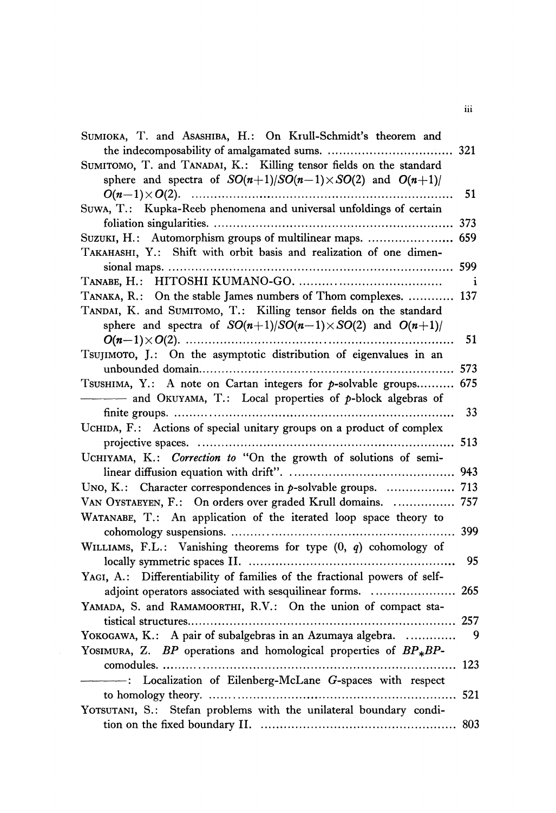| SUMIOKA, T. and ASASHIBA, H.: On Krull-Schmidt's theorem and              |              |
|---------------------------------------------------------------------------|--------------|
|                                                                           |              |
| SUMITOMO, T. and TANADAI, K.: Killing tensor fields on the standard       |              |
| sphere and spectra of $SO(n+1)/SO(n-1)\times SO(2)$ and $O(n+1)/$         |              |
| $O(n-1)\times O(2)$ .                                                     | 51           |
| SUWA, T.: Kupka-Reeb phenomena and universal unfoldings of certain        |              |
|                                                                           | 373          |
| SUZUKI, H.: Automorphism groups of multilinear maps.                      | 659          |
| TAKAHASHI, Y.: Shift with orbit basis and realization of one dimen-       |              |
|                                                                           | 599          |
|                                                                           | $\mathbf{1}$ |
| TANAKA, R.: On the stable James numbers of Thom complexes.                | 137          |
| TANDAI, K. and SUMITOMO, T.: Killing tensor fields on the standard        |              |
| sphere and spectra of $SO(n+1)/SO(n-1)\times SO(2)$ and $O(n+1)/$         |              |
| $O(n-1)\times O(2)$ .                                                     | 51           |
| TSUJIMOTO, J.: On the asymptotic distribution of eigenvalues in an        |              |
|                                                                           | 573          |
| TSUSHIMA, Y.: A note on Cartan integers for p-solvable groups 675         |              |
| $-$ and OKUYAMA, T.: Local properties of $p$ -block algebras of           |              |
|                                                                           | 33           |
| UCHIDA, F.: Actions of special unitary groups on a product of complex     |              |
|                                                                           | 513          |
| UCHIYAMA, K.: Correction to "On the growth of solutions of semi-          |              |
|                                                                           | 943          |
|                                                                           |              |
| VAN OYSTAEYEN, F.: On orders over graded Krull domains.  757              |              |
| WATANABE, T.: An application of the iterated loop space theory to         |              |
|                                                                           | 399          |
| WILLIAMS, F.L.: Vanishing theorems for type $(0, q)$ cohomology of        |              |
| locally symmetric spaces II.                                              | 95           |
| YAGI, A.: Differentiability of families of the fractional powers of self- |              |
|                                                                           | 265          |
| adjoint operators associated with sesquilinear forms.                     |              |
| YAMADA, S. and RAMAMOORTHI, R.V.: On the union of compact sta-            |              |
|                                                                           | 257          |
| YOKOGAWA, K.: A pair of subalgebras in an Azumaya algebra.                | 9            |
| YOSIMURA, Z. BP operations and homological properties of $BP_*BP$ -       |              |
| comodules.                                                                | 123          |
| Localization of Eilenberg-McLane G-spaces with respect<br>$-1$            |              |
|                                                                           | 521          |
| YOTSUTANI, S.: Stefan problems with the unilateral boundary condi-        |              |
|                                                                           | 803          |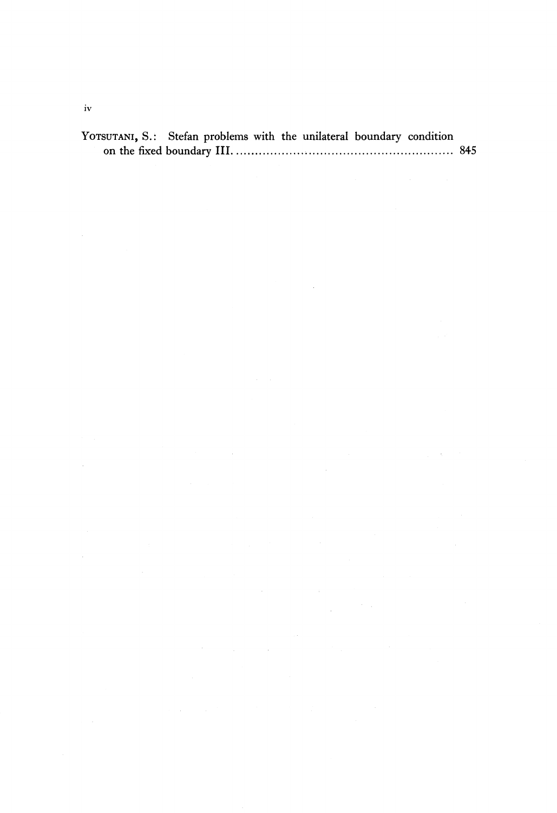| YOTSUTANI, S.: Stefan problems with the unilateral boundary condition |  |  |  |  |
|-----------------------------------------------------------------------|--|--|--|--|
|                                                                       |  |  |  |  |

 $\mathcal{L}^{\text{max}}_{\text{max}}$  and  $\mathcal{L}^{\text{max}}_{\text{max}}$ 

 $\label{eq:2.1} \mathcal{L}^{(1)}(\mathcal{E}^{(1)}) = \mathcal{L}^{(1)}(\mathcal{E}^{(1)}) = \mathcal{L}^{(1)}(\mathcal{E}^{(1)})$ 

 $\,$ iv

 $\frac{1}{2} \int_{\mathbb{R}^2} \frac{1}{\sqrt{2}} \, \mathrm{d} x$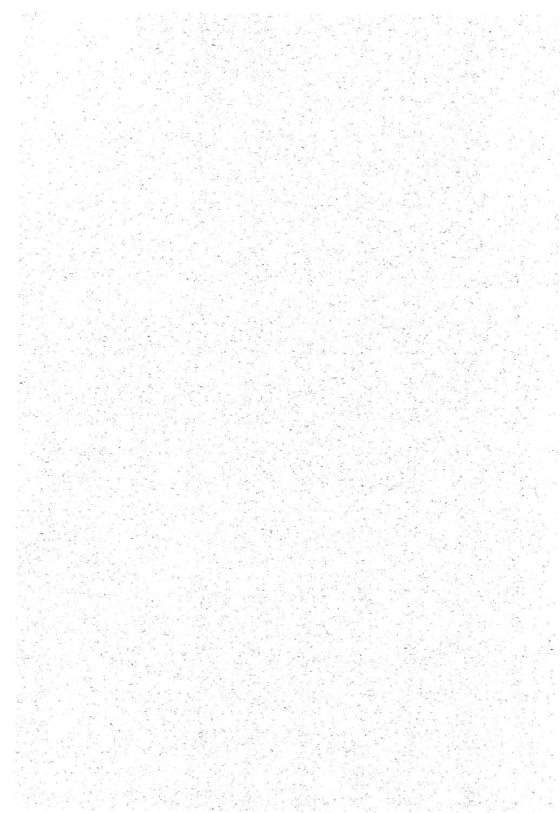